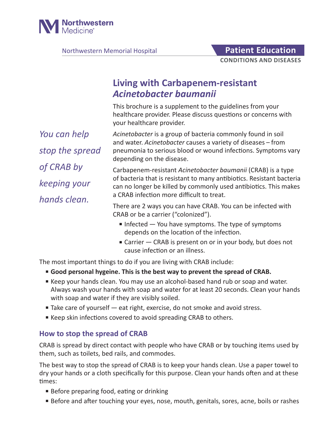

Northwestern Memorial Hospital **Patient Education** 

**CONDITIONS AND DISEASES**

# **Living with Carbapenem-resistant**  *Acinetobacter baumanii*

This brochure is a supplement to the guidelines from your healthcare provider. Please discuss questions or concerns with your healthcare provider.

*You can help stop the spread of CRAB by keeping your hands clean.*

*Acinetobacter* is a group of bacteria commonly found in soil and water. *Acinetobacter* causes a variety of diseases – from pneumonia to serious blood or wound infections. Symptoms vary depending on the disease.

Carbapenem-resistant *Acinetobacter baumanii* (CRAB) is a type of bacteria that is resistant to many antibiotics. Resistant bacteria can no longer be killed by commonly used antibiotics. This makes a CRAB infection more difficult to treat.

There are 2 ways you can have CRAB. You can be infected with CRAB or be a carrier ("colonized").

- Infected You have symptoms. The type of symptoms depends on the location of the infection.
- Carrier CRAB is present on or in your body, but does not cause infection or an illness.

The most important things to do if you are living with CRAB include:

- **Good personal hygeine. This is the best way to prevent the spread of CRAB.**
- Keep your hands clean. You may use an alcohol-based hand rub or soap and water. Always wash your hands with soap and water for at least 20 seconds. Clean your hands with soap and water if they are visibly soiled.
- Take care of yourself eat right, exercise, do not smoke and avoid stress.
- Keep skin infections covered to avoid spreading CRAB to others.

### **How to stop the spread of CRAB**

CRAB is spread by direct contact with people who have CRAB or by touching items used by them, such as toilets, bed rails, and commodes.

The best way to stop the spread of CRAB is to keep your hands clean. Use a paper towel to dry your hands or a cloth specifically for this purpose. Clean your hands often and at these times:

- Before preparing food, eating or drinking
- Before and after touching your eyes, nose, mouth, genitals, sores, acne, boils or rashes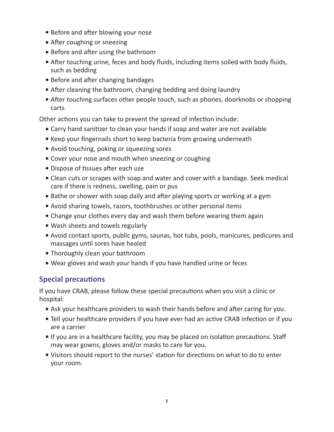- Before and after blowing your nose
- After coughing or sneezing
- Before and after using the bathroom
- After touching urine, feces and body fluids, including items soiled with body fluids, such as bedding
- Before and after changing bandages
- After cleaning the bathroom, changing bedding and doing laundry
- After touching surfaces other people touch, such as phones, doorknobs or shopping carts

Other actions you can take to prevent the spread of infection include:

- Carry hand sanitizer to clean your hands if soap and water are not available
- Keep your fingernails short to keep bacteria from growing underneath
- Avoid touching, poking or squeezing sores
- Cover your nose and mouth when sneezing or coughing
- Dispose of tissues after each use
- Clean cuts or scrapes with soap and water and cover with a bandage. Seek medical care if there is redness, swelling, pain or pus
- Bathe or shower with soap daily and after playing sports or working at a gym
- Avoid sharing towels, razors, toothbrushes or other personal items
- Change your clothes every day and wash them before wearing them again
- Wash sheets and towels regularly
- Avoid contact sports, public gyms, saunas, hot tubs, pools, manicures, pedicures and massages until sores have healed
- Thoroughly clean your bathroom
- Wear gloves and wash your hands if you have handled urine or feces

## **Special precautions**

If you have CRAB, please follow these special precautions when you visit a clinic or hospital:

- Ask your healthcare providers to wash their hands before and after caring for you.
- Tell your healthcare providers if you have ever had an active CRAB infection or if you are a carrier
- If you are in a healthcare facility, you may be placed on isolation precautions. Staff may wear gowns, gloves and/or masks to care for you.
- Visitors should report to the nurses' station for directions on what to do to enter your room.